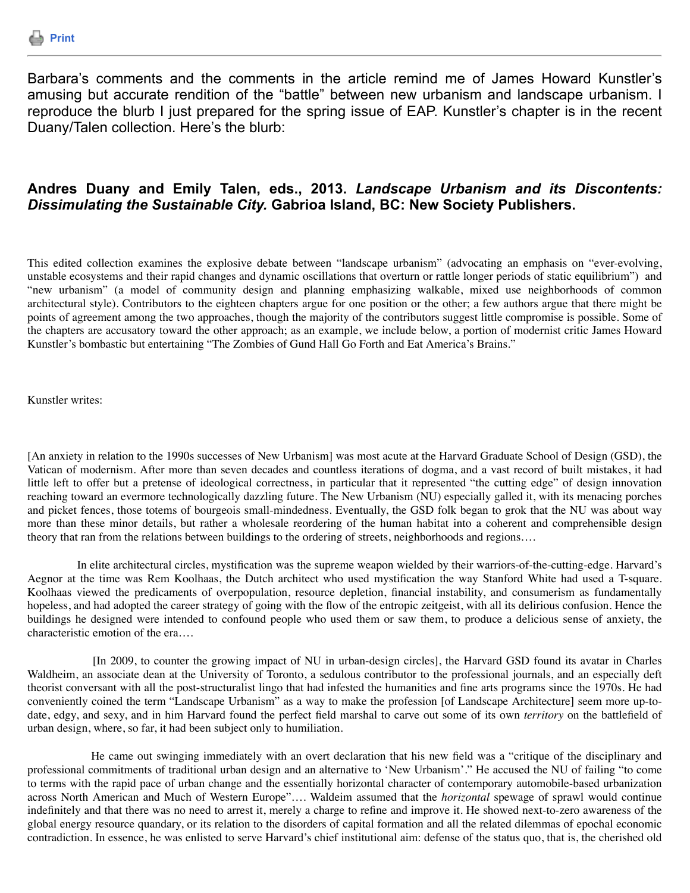

Barbara's comments and the comments in the article remind me of James Howard Kunstler's amusing but accurate rendition of the "battle" between new urbanism and landscape urbanism. I reproduce the blurb I just prepared for the spring issue of EAP. Kunstler's chapter is in the recent Duany/Talen collection. Here's the blurb:

## **Andres Duany and Emily Talen, eds., 2013.** *Landscape Urbanism and its Discontents: Dissimulating the Sustainable City.* **Gabrioa Island, BC: New Society Publishers.**

This edited collection examines the explosive debate between "landscape urbanism" (advocating an emphasis on "ever-evolving, unstable ecosystems and their rapid changes and dynamic oscillations that overturn or rattle longer periods of static equilibrium") and "new urbanism" (a model of community design and planning emphasizing walkable, mixed use neighborhoods of common architectural style). Contributors to the eighteen chapters argue for one position or the other; a few authors argue that there might be points of agreement among the two approaches, though the majority of the contributors suggest little compromise is possible. Some of the chapters are accusatory toward the other approach; as an example, we include below, a portion of modernist critic James Howard Kunstler's bombastic but entertaining "The Zombies of Gund Hall Go Forth and Eat America's Brains."

Kunstler writes:

[An anxiety in relation to the 1990s successes of New Urbanism] was most acute at the Harvard Graduate School of Design (GSD), the Vatican of modernism. After more than seven decades and countless iterations of dogma, and a vast record of built mistakes, it had little left to offer but a pretense of ideological correctness, in particular that it represented "the cutting edge" of design innovation reaching toward an evermore technologically dazzling future. The New Urbanism (NU) especially galled it, with its menacing porches and picket fences, those totems of bourgeois small-mindedness. Eventually, the GSD folk began to grok that the NU was about way more than these minor details, but rather a wholesale reordering of the human habitat into a coherent and comprehensible design theory that ran from the relations between buildings to the ordering of streets, neighborhoods and regions….

 In elite architectural circles, mystification was the supreme weapon wielded by their warriors-of-the-cutting-edge. Harvard's Aegnor at the time was Rem Koolhaas, the Dutch architect who used mystification the way Stanford White had used a T-square. Koolhaas viewed the predicaments of overpopulation, resource depletion, financial instability, and consumerism as fundamentally hopeless, and had adopted the career strategy of going with the flow of the entropic zeitgeist, with all its delirious confusion. Hence the buildings he designed were intended to confound people who used them or saw them, to produce a delicious sense of anxiety, the characteristic emotion of the era….

 [In 2009, to counter the growing impact of NU in urban-design circles], the Harvard GSD found its avatar in Charles Waldheim, an associate dean at the University of Toronto, a sedulous contributor to the professional journals, and an especially deft theorist conversant with all the post-structuralist lingo that had infested the humanities and fine arts programs since the 1970s. He had conveniently coined the term "Landscape Urbanism" as a way to make the profession [of Landscape Architecture] seem more up-todate, edgy, and sexy, and in him Harvard found the perfect field marshal to carve out some of its own *territory* on the battlefield of urban design, where, so far, it had been subject only to humiliation.

 He came out swinging immediately with an overt declaration that his new field was a "critique of the disciplinary and professional commitments of traditional urban design and an alternative to 'New Urbanism'." He accused the NU of failing "to come to terms with the rapid pace of urban change and the essentially horizontal character of contemporary automobile-based urbanization across North American and Much of Western Europe"…. Waldeim assumed that the *horizontal* spewage of sprawl would continue indefinitely and that there was no need to arrest it, merely a charge to refine and improve it. He showed next-to-zero awareness of the global energy resource quandary, or its relation to the disorders of capital formation and all the related dilemmas of epochal economic contradiction. In essence, he was enlisted to serve Harvard's chief institutional aim: defense of the status quo, that is, the cherished old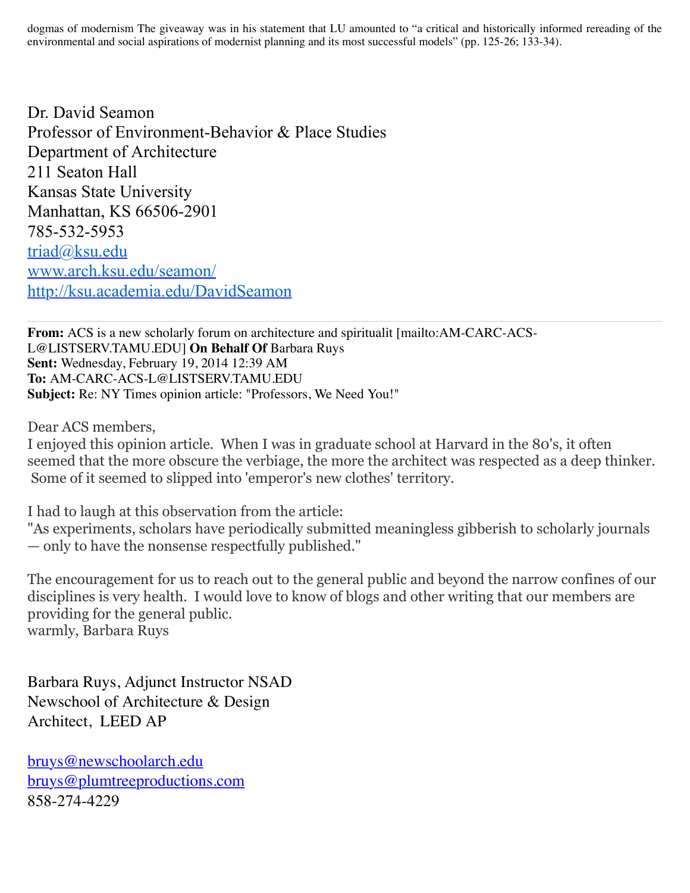dogmas of modernism The giveaway was in his statement that LU amounted to "a critical and historically informed rereading of the environmental and social aspirations of modernist planning and its most successful models" (pp. 125-26; 133-34).

Dr. David Seamon Professor of Environment-Behavior & Place Studies Department of Architecture 211 Seaton Hall Kansas State University Manhattan, KS 66506-2901 785-532-5953 [triad@ksu.edu](mailto:triad@ksu.edu) [www.arch.ksu.edu/seamon/](http://www.arch.ksu.edu/seamon/) <http://ksu.academia.edu/DavidSeamon>

**From:** ACS is a new scholarly forum on architecture and spiritualit [mailto:AM-CARC-ACS-L@LISTSERV.TAMU.EDU] **On Behalf Of** Barbara Ruys **Sent:** Wednesday, February 19, 2014 12:39 AM **To:** AM-CARC-ACS-L@LISTSERV.TAMU.EDU **Subject:** Re: NY Times opinion article: "Professors, We Need You!"

Dear ACS members,

I enjoyed this opinion article. When I was in graduate school at Harvard in the 80's, it often seemed that the more obscure the verbiage, the more the architect was respected as a deep thinker. Some of it seemed to slipped into 'emperor's new clothes' territory.

I had to laugh at this observation from the article:

"As experiments, scholars have periodically submitted meaningless gibberish to scholarly journals — only to have the nonsense respectfully published."

The encouragement for us to reach out to the general public and beyond the narrow confines of our disciplines is very health. I would love to know of blogs and other writing that our members are providing for the general public. warmly, Barbara Ruys

Barbara Ruys, Adjunct Instructor NSAD Newschool of Architecture & Design Architect, LEED AP

[bruys@newschoolarch.edu](mailto:bruys@newschoolarch.edu) [bruys@plumtreeproductions.com](mailto:bruys@plumtreeproductions.com) 858-274-4229